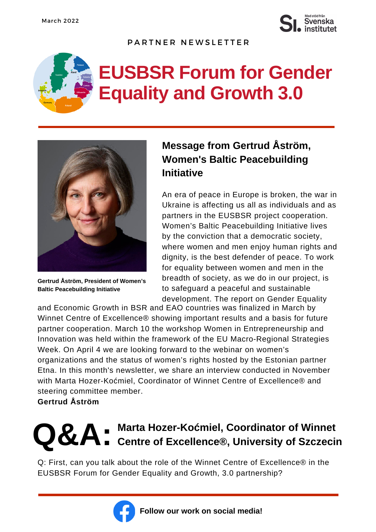

#### PARTNER NEWSLETTER

# **EUSBSR Forum for Gender Equality and Growth 3.0**



**Gertrud Åström, President of Women's Baltic Peacebuilding Initiative**

## **Message from Gertrud Åström, Women's Baltic Peacebuilding Initiative**

An era of peace in Europe is broken, the war in Ukraine is affecting us all as individuals and as partners in the EUSBSR project cooperation. Women's Baltic Peacebuilding Initiative lives by the conviction that a democratic society, where women and men enjoy human rights and dignity, is the best defender of peace. To work for equality between women and men in the breadth of society, as we do in our project, is to safeguard a peaceful and sustainable development. The report on Gender Equality

and Economic Growth in BSR and EAO countries was finalized in March by Winnet Centre of Excellence® showing important results and a basis for future partner cooperation. March 10 the workshop Women in Entrepreneurship and Innovation was held within the framework of the EU Macro-Regional Strategies Week. On April 4 we are looking forward to the webinar on women's organizations and the status of women's rights hosted by the Estonian partner Etna. In this month's newsletter, we share an interview conducted in November with Marta Hozer-Koćmiel, Coordinator of Winnet Centre of Excellence® and steering committee member.

### **Gertrud Åström**

## **Q&A**: Marta Hozer-Koćmiel, Coordinator of Winnet<br>
Centre of Excellence®, University of Szczeci **Centre of Excellence®, University of Szczecin**

Q: First, can you talk about the role of the Winnet Centre of Excellence® in the EUSBSR Forum for Gender Equality and Growth, 3.0 partnership?